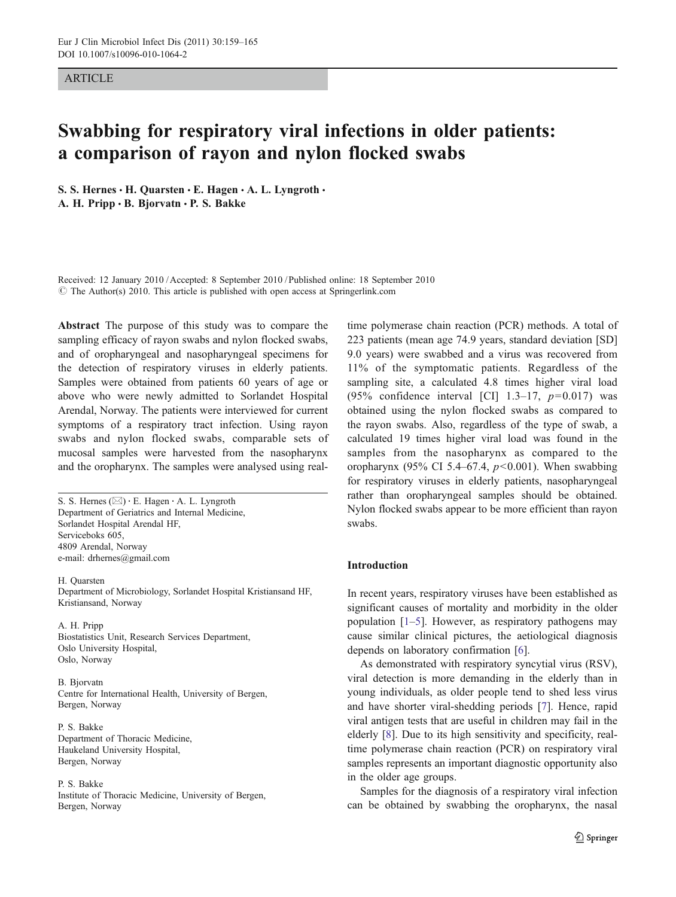#### ARTICLE

# Swabbing for respiratory viral infections in older patients: a comparison of rayon and nylon flocked swabs

S. S. Hernes · H. Quarsten · E. Hagen · A. L. Lyngroth · A. H. Pripp · B. Bjorvatn · P. S. Bakke

Received: 12 January 2010 /Accepted: 8 September 2010 / Published online: 18 September 2010  $\circ$  The Author(s) 2010. This article is published with open access at Springerlink.com

Abstract The purpose of this study was to compare the sampling efficacy of rayon swabs and nylon flocked swabs, and of oropharyngeal and nasopharyngeal specimens for the detection of respiratory viruses in elderly patients. Samples were obtained from patients 60 years of age or above who were newly admitted to Sorlandet Hospital Arendal, Norway. The patients were interviewed for current symptoms of a respiratory tract infection. Using rayon swabs and nylon flocked swabs, comparable sets of mucosal samples were harvested from the nasopharynx and the oropharynx. The samples were analysed using real-

S. S. Hernes  $(\boxtimes) \cdot$  E. Hagen  $\cdot$  A. L. Lyngroth Department of Geriatrics and Internal Medicine, Sorlandet Hospital Arendal HF, Serviceboks 605, 4809 Arendal, Norway e-mail: drhernes@gmail.com

H. Quarsten Department of Microbiology, Sorlandet Hospital Kristiansand HF, Kristiansand, Norway

A. H. Pripp Biostatistics Unit, Research Services Department, Oslo University Hospital, Oslo, Norway

B. Bjorvatn Centre for International Health, University of Bergen, Bergen, Norway

P. S. Bakke Department of Thoracic Medicine, Haukeland University Hospital, Bergen, Norway

P. S. Bakke Institute of Thoracic Medicine, University of Bergen, Bergen, Norway

time polymerase chain reaction (PCR) methods. A total of 223 patients (mean age 74.9 years, standard deviation [SD] 9.0 years) were swabbed and a virus was recovered from 11% of the symptomatic patients. Regardless of the sampling site, a calculated 4.8 times higher viral load (95% confidence interval [CI] 1.3–17,  $p=0.017$ ) was obtained using the nylon flocked swabs as compared to the rayon swabs. Also, regardless of the type of swab, a calculated 19 times higher viral load was found in the samples from the nasopharynx as compared to the oropharynx (95% CI 5.4–67.4,  $p < 0.001$ ). When swabbing for respiratory viruses in elderly patients, nasopharyngeal rather than oropharyngeal samples should be obtained. Nylon flocked swabs appear to be more efficient than rayon swabs.

## Introduction

In recent years, respiratory viruses have been established as significant causes of mortality and morbidity in the older population [[1](#page-5-0)–[5\]](#page-5-0). However, as respiratory pathogens may cause similar clinical pictures, the aetiological diagnosis depends on laboratory confirmation [[6\]](#page-5-0).

As demonstrated with respiratory syncytial virus (RSV), viral detection is more demanding in the elderly than in young individuals, as older people tend to shed less virus and have shorter viral-shedding periods [\[7](#page-5-0)]. Hence, rapid viral antigen tests that are useful in children may fail in the elderly [\[8](#page-5-0)]. Due to its high sensitivity and specificity, realtime polymerase chain reaction (PCR) on respiratory viral samples represents an important diagnostic opportunity also in the older age groups.

Samples for the diagnosis of a respiratory viral infection can be obtained by swabbing the oropharynx, the nasal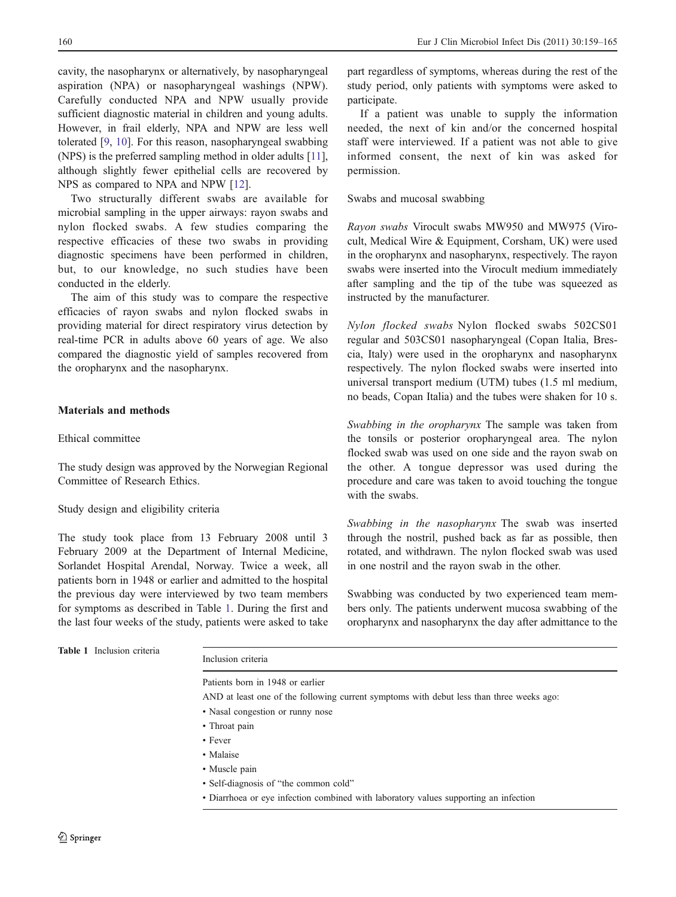<span id="page-1-0"></span>cavity, the nasopharynx or alternatively, by nasopharyngeal aspiration (NPA) or nasopharyngeal washings (NPW). Carefully conducted NPA and NPW usually provide sufficient diagnostic material in children and young adults. However, in frail elderly, NPA and NPW are less well tolerated [[9,](#page-5-0) [10](#page-5-0)]. For this reason, nasopharyngeal swabbing (NPS) is the preferred sampling method in older adults [[11](#page-5-0)], although slightly fewer epithelial cells are recovered by NPS as compared to NPA and NPW [[12\]](#page-5-0).

Two structurally different swabs are available for microbial sampling in the upper airways: rayon swabs and nylon flocked swabs. A few studies comparing the respective efficacies of these two swabs in providing diagnostic specimens have been performed in children, but, to our knowledge, no such studies have been conducted in the elderly.

The aim of this study was to compare the respective efficacies of rayon swabs and nylon flocked swabs in providing material for direct respiratory virus detection by real-time PCR in adults above 60 years of age. We also compared the diagnostic yield of samples recovered from the oropharynx and the nasopharynx.

# Materials and methods

Ethical committee

The study design was approved by the Norwegian Regional Committee of Research Ethics.

Study design and eligibility criteria

The study took place from 13 February 2008 until 3 February 2009 at the Department of Internal Medicine, Sorlandet Hospital Arendal, Norway. Twice a week, all patients born in 1948 or earlier and admitted to the hospital the previous day were interviewed by two team members for symptoms as described in Table 1. During the first and the last four weeks of the study, patients were asked to take

part regardless of symptoms, whereas during the rest of the study period, only patients with symptoms were asked to participate.

If a patient was unable to supply the information needed, the next of kin and/or the concerned hospital staff were interviewed. If a patient was not able to give informed consent, the next of kin was asked for permission.

Swabs and mucosal swabbing

Rayon swabs Virocult swabs MW950 and MW975 (Virocult, Medical Wire & Equipment, Corsham, UK) were used in the oropharynx and nasopharynx, respectively. The rayon swabs were inserted into the Virocult medium immediately after sampling and the tip of the tube was squeezed as instructed by the manufacturer.

Nylon flocked swabs Nylon flocked swabs 502CS01 regular and 503CS01 nasopharyngeal (Copan Italia, Brescia, Italy) were used in the oropharynx and nasopharynx respectively. The nylon flocked swabs were inserted into universal transport medium (UTM) tubes (1.5 ml medium, no beads, Copan Italia) and the tubes were shaken for 10 s.

Swabbing in the oropharynx The sample was taken from the tonsils or posterior oropharyngeal area. The nylon flocked swab was used on one side and the rayon swab on the other. A tongue depressor was used during the procedure and care was taken to avoid touching the tongue with the swabs.

Swabbing in the nasopharynx The swab was inserted through the nostril, pushed back as far as possible, then rotated, and withdrawn. The nylon flocked swab was used in one nostril and the rayon swab in the other.

Swabbing was conducted by two experienced team members only. The patients underwent mucosa swabbing of the oropharynx and nasopharynx the day after admittance to the

Table 1 Inclusion criteria

# Inclusion criteria

Patients born in 1948 or earlier

AND at least one of the following current symptoms with debut less than three weeks ago:

- Nasal congestion or runny nose
- Throat pain
- Fever
- Malaise
- Muscle pain
- Self-diagnosis of "the common cold"
- Diarrhoea or eye infection combined with laboratory values supporting an infection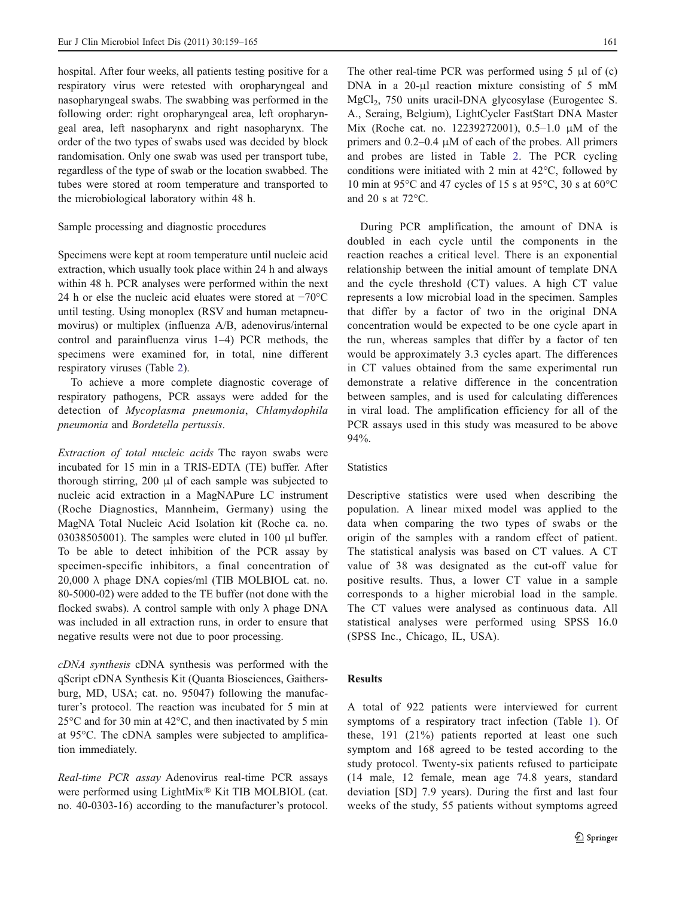hospital. After four weeks, all patients testing positive for a respiratory virus were retested with oropharyngeal and nasopharyngeal swabs. The swabbing was performed in the following order: right oropharyngeal area, left oropharyngeal area, left nasopharynx and right nasopharynx. The order of the two types of swabs used was decided by block randomisation. Only one swab was used per transport tube, regardless of the type of swab or the location swabbed. The tubes were stored at room temperature and transported to the microbiological laboratory within 48 h.

## Sample processing and diagnostic procedures

Specimens were kept at room temperature until nucleic acid extraction, which usually took place within 24 h and always within 48 h. PCR analyses were performed within the next 24 h or else the nucleic acid eluates were stored at −70°C until testing. Using monoplex (RSV and human metapneumovirus) or multiplex (influenza A/B, adenovirus/internal control and parainfluenza virus 1–4) PCR methods, the specimens were examined for, in total, nine different respiratory viruses (Table [2\)](#page-3-0).

To achieve a more complete diagnostic coverage of respiratory pathogens, PCR assays were added for the detection of Mycoplasma pneumonia, Chlamydophila pneumonia and Bordetella pertussis.

Extraction of total nucleic acids The rayon swabs were incubated for 15 min in a TRIS-EDTA (TE) buffer. After thorough stirring, 200 μl of each sample was subjected to nucleic acid extraction in a MagNAPure LC instrument (Roche Diagnostics, Mannheim, Germany) using the MagNA Total Nucleic Acid Isolation kit (Roche ca. no. 03038505001). The samples were eluted in 100 μl buffer. To be able to detect inhibition of the PCR assay by specimen-specific inhibitors, a final concentration of 20,000  $λ$  phage DNA copies/ml (TIB MOLBIOL cat. no. 80-5000-02) were added to the TE buffer (not done with the flocked swabs). A control sample with only  $\lambda$  phage DNA was included in all extraction runs, in order to ensure that negative results were not due to poor processing.

cDNA synthesis cDNA synthesis was performed with the qScript cDNA Synthesis Kit (Quanta Biosciences, Gaithersburg, MD, USA; cat. no. 95047) following the manufacturer's protocol. The reaction was incubated for 5 min at  $25^{\circ}$ C and for 30 min at 42 $^{\circ}$ C, and then inactivated by 5 min at 95°C. The cDNA samples were subjected to amplification immediately.

Real-time PCR assay Adenovirus real-time PCR assays were performed using LightMix® Kit TIB MOLBIOL (cat. no. 40-0303-16) according to the manufacturer's protocol.

The other real-time PCR was performed using 5 μl of (c) DNA in a 20-μl reaction mixture consisting of 5 mM  $MgCl<sub>2</sub>$ , 750 units uracil-DNA glycosylase (Eurogentec S. A., Seraing, Belgium), LightCycler FastStart DNA Master Mix (Roche cat. no. 12239272001), 0.5–1.0 μM of the primers and 0.2–0.4 μM of each of the probes. All primers and probes are listed in Table [2](#page-3-0). The PCR cycling conditions were initiated with 2 min at 42°C, followed by 10 min at 95°C and 47 cycles of 15 s at 95°C, 30 s at 60°C and 20 s at 72°C.

During PCR amplification, the amount of DNA is doubled in each cycle until the components in the reaction reaches a critical level. There is an exponential relationship between the initial amount of template DNA and the cycle threshold (CT) values. A high CT value represents a low microbial load in the specimen. Samples that differ by a factor of two in the original DNA concentration would be expected to be one cycle apart in the run, whereas samples that differ by a factor of ten would be approximately 3.3 cycles apart. The differences in CT values obtained from the same experimental run demonstrate a relative difference in the concentration between samples, and is used for calculating differences in viral load. The amplification efficiency for all of the PCR assays used in this study was measured to be above 94%.

### **Statistics**

Descriptive statistics were used when describing the population. A linear mixed model was applied to the data when comparing the two types of swabs or the origin of the samples with a random effect of patient. The statistical analysis was based on CT values. A CT value of 38 was designated as the cut-off value for positive results. Thus, a lower CT value in a sample corresponds to a higher microbial load in the sample. The CT values were analysed as continuous data. All statistical analyses were performed using SPSS 16.0 (SPSS Inc., Chicago, IL, USA).

# Results

A total of 922 patients were interviewed for current symptoms of a respiratory tract infection (Table [1\)](#page-1-0). Of these, 191 (21%) patients reported at least one such symptom and 168 agreed to be tested according to the study protocol. Twenty-six patients refused to participate (14 male, 12 female, mean age 74.8 years, standard deviation [SD] 7.9 years). During the first and last four weeks of the study, 55 patients without symptoms agreed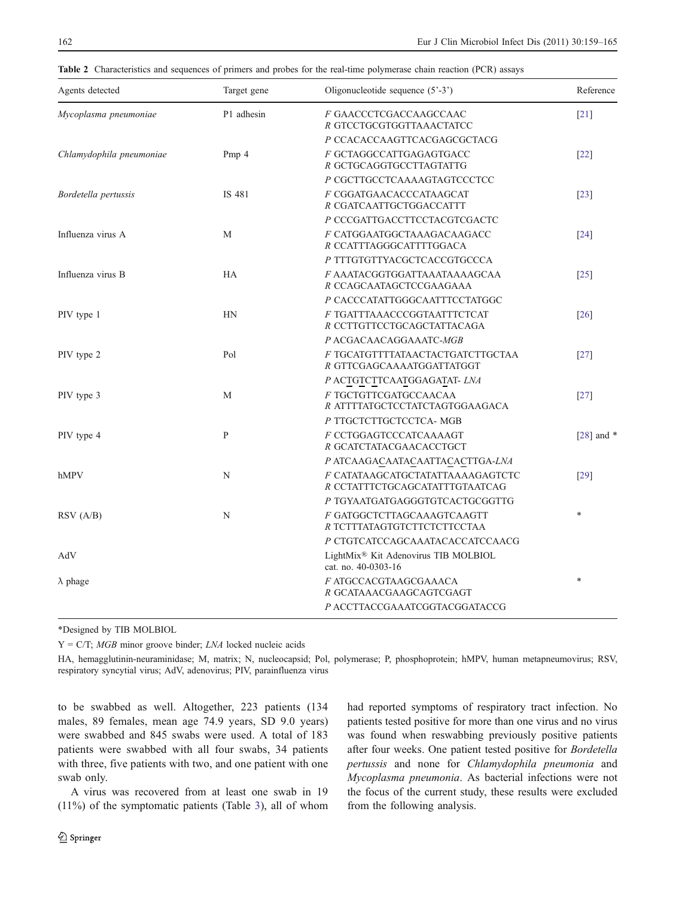<span id="page-3-0"></span>Table 2 Characteristics and sequences of primers and probes for the real-time polymerase chain reaction (PCR) assays

| Agents detected          | Target gene<br>Oligonucleotide sequence $(5^{\circ}-3^{\circ})$ |                                                                    | Reference          |  |
|--------------------------|-----------------------------------------------------------------|--------------------------------------------------------------------|--------------------|--|
| Mycoplasma pneumoniae    | P1 adhesin                                                      | F GAACCCTCGACCAAGCCAAC<br>R GTCCTGCGTGGTTAAACTATCC                 | $[21]$             |  |
|                          |                                                                 | P CCACACCAAGTTCACGAGCGCTACG                                        |                    |  |
| Chlamydophila pneumoniae | Pmp 4                                                           | F GCTAGGCCATTGAGAGTGACC<br>R GCTGCAGGTGCCTTAGTATTG                 | $\lceil 22 \rceil$ |  |
|                          |                                                                 | P CGCTTGCCTCAAAAGTAGTCCCTCC                                        |                    |  |
| Bordetella pertussis     | IS 481                                                          | F CGGATGAACACCCATAAGCAT<br>R CGATCAATTGCTGGACCATTT                 | [23]               |  |
|                          |                                                                 | P CCCGATTGACCTTCCTACGTCGACTC                                       |                    |  |
| Influenza virus A        | М                                                               | F CATGGAATGGCTAAAGACAAGACC<br>R CCATTTAGGGCATTTTGGACA              | $\lceil 24 \rceil$ |  |
|                          |                                                                 | P TTTGTGTTYACGCTCACCGTGCCCA                                        |                    |  |
| Influenza virus B        | HA                                                              | F AAATACGGTGGATTAAATAAAAGCAA<br>R CCAGCAATAGCTCCGAAGAAA            | $[25]$             |  |
|                          |                                                                 | P CACCCATATTGGGCAATTTCCTATGGC                                      |                    |  |
| PIV type 1               | HN                                                              | F TGATTTAAACCCGGTAATTTCTCAT<br>$R$ CCTTGTTCCTGCAGCTATTACAGA        | $\lceil 26 \rceil$ |  |
|                          |                                                                 | P ACGACAACAGGAAATC-MGB                                             |                    |  |
| PIV type 2               | Pol                                                             | $F$ TGCATGTTTTATAACTACTGATCTTGCTAA<br>R GTTCGAGCAAAATGGATTATGGT    | $[27]$             |  |
|                          |                                                                 | P ACTGTCTTCAATGGAGATAT-LNA                                         |                    |  |
| PIV type 3               | M                                                               | F TGCTGTTCGATGCCAACAA<br>R ATTTTATGCTCCTATCTAGTGGAAGACA            | $[27]$             |  |
|                          |                                                                 | P TTGCTCTTGCTCCTCA- MGB                                            |                    |  |
| PIV type 4               | $\mathbf{P}$                                                    | F CCTGGAGTCCCATCAAAAGT<br>R GCATCTATACGAACACCTGCT                  | [28] and $*$       |  |
|                          |                                                                 | P ATCAAGACAATACAATTACACTTGA-LNA                                    |                    |  |
| hMPV                     | N                                                               | F CATATAAGCATGCTATATTAAAAGAGTCTC<br>R CCTATTTCTGCAGCATATTTGTAATCAG | [29]               |  |
|                          |                                                                 | P TGYAATGATGAGGGTGTCACTGCGGTTG                                     |                    |  |
| RSV(A/B)                 | N                                                               | F GATGGCTCTTAGCAAAGTCAAGTT<br>R TCTTTATAGTGTCTTCTCTTCCTAA          | $\ast$             |  |
|                          |                                                                 | P CTGTCATCCAGCAAATACACCATCCAACG                                    |                    |  |
| AdV                      |                                                                 | LightMix® Kit Adenovirus TIB MOLBIOL<br>cat. no. 40-0303-16        |                    |  |
| $\lambda$ phage          |                                                                 | F ATGCCACGTAAGCGAAACA<br>R GCATAAACGAAGCAGTCGAGT                   | *                  |  |
|                          |                                                                 | P ACCTTACCGAAATCGGTACGGATACCG                                      |                    |  |

\*Designed by TIB MOLBIOL

 $Y = C/T$ ; *MGB* minor groove binder; *LNA* locked nucleic acids

HA, hemagglutinin-neuraminidase; M, matrix; N, nucleocapsid; Pol, polymerase; P, phosphoprotein; hMPV, human metapneumovirus; RSV, respiratory syncytial virus; AdV, adenovirus; PIV, parainfluenza virus

to be swabbed as well. Altogether, 223 patients (134 males, 89 females, mean age 74.9 years, SD 9.0 years) were swabbed and 845 swabs were used. A total of 183 patients were swabbed with all four swabs, 34 patients with three, five patients with two, and one patient with one swab only.

A virus was recovered from at least one swab in 19 (11%) of the symptomatic patients (Table [3](#page-4-0)), all of whom had reported symptoms of respiratory tract infection. No patients tested positive for more than one virus and no virus was found when reswabbing previously positive patients after four weeks. One patient tested positive for Bordetella pertussis and none for Chlamydophila pneumonia and Mycoplasma pneumonia. As bacterial infections were not the focus of the current study, these results were excluded from the following analysis.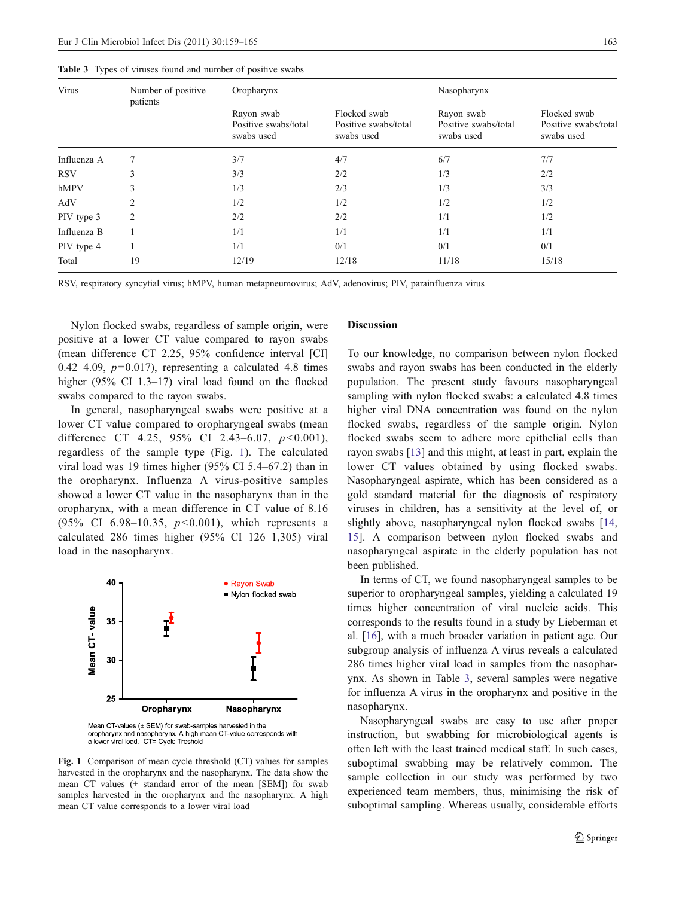<span id="page-4-0"></span>

|  |  | <b>Table 3</b> Types of viruses found and number of positive swabs |  |  |  |  |  |  |
|--|--|--------------------------------------------------------------------|--|--|--|--|--|--|
|--|--|--------------------------------------------------------------------|--|--|--|--|--|--|

| Virus       | Number of positive<br>patients | Oropharynx                                       |                                                    | Nasopharynx                                      |                                                    |  |
|-------------|--------------------------------|--------------------------------------------------|----------------------------------------------------|--------------------------------------------------|----------------------------------------------------|--|
|             |                                | Rayon swab<br>Positive swabs/total<br>swabs used | Flocked swab<br>Positive swabs/total<br>swabs used | Rayon swab<br>Positive swabs/total<br>swabs used | Flocked swab<br>Positive swabs/total<br>swabs used |  |
| Influenza A | 7                              | 3/7                                              | 4/7                                                | 6/7                                              | 7/7                                                |  |
| <b>RSV</b>  | 3                              | 3/3                                              | 2/2                                                | 1/3                                              | 2/2                                                |  |
| hMPV        | 3                              | 1/3                                              | 2/3                                                | 1/3                                              | 3/3                                                |  |
| AdV         | 2                              | 1/2                                              | 1/2                                                | 1/2                                              | 1/2                                                |  |
| PIV type 3  | $\overline{c}$                 | 2/2                                              | 2/2                                                | 1/1                                              | 1/2                                                |  |
| Influenza B |                                | 1/1                                              | 1/1                                                | 1/1                                              | 1/1                                                |  |
| PIV type 4  |                                | 1/1                                              | 0/1                                                | 0/1                                              | 0/1                                                |  |
| Total       | 19                             | 12/19                                            | 12/18                                              | 11/18                                            | 15/18                                              |  |

RSV, respiratory syncytial virus; hMPV, human metapneumovirus; AdV, adenovirus; PIV, parainfluenza virus

Nylon flocked swabs, regardless of sample origin, were positive at a lower CT value compared to rayon swabs (mean difference CT 2.25, 95% confidence interval [CI] 0.42–4.09,  $p=0.017$ ), representing a calculated 4.8 times higher (95% CI 1.3–17) viral load found on the flocked swabs compared to the rayon swabs.

In general, nasopharyngeal swabs were positive at a lower CT value compared to oropharyngeal swabs (mean difference CT 4.25, 95% CI 2.43-6.07,  $p < 0.001$ ), regardless of the sample type (Fig. 1). The calculated viral load was 19 times higher (95% CI 5.4–67.2) than in the oropharynx. Influenza A virus-positive samples showed a lower CT value in the nasopharynx than in the oropharynx, with a mean difference in CT value of 8.16 (95% CI 6.98–10.35,  $p<0.001$ ), which represents a calculated 286 times higher (95% CI 126–1,305) viral load in the nasopharynx.



Mean CT-values (± SEM) for swab-samples harvested in the orcharynx and nasopharynx. A high mean CT-value corresponds with<br>a lower viral load. CT= Cycle Treshold

Fig. 1 Comparison of mean cycle threshold (CT) values for samples harvested in the oropharynx and the nasopharynx. The data show the mean CT values ( $\pm$  standard error of the mean [SEM]) for swab samples harvested in the oropharynx and the nasopharynx. A high mean CT value corresponds to a lower viral load

#### Discussion

To our knowledge, no comparison between nylon flocked swabs and rayon swabs has been conducted in the elderly population. The present study favours nasopharyngeal sampling with nylon flocked swabs: a calculated 4.8 times higher viral DNA concentration was found on the nylon flocked swabs, regardless of the sample origin. Nylon flocked swabs seem to adhere more epithelial cells than rayon swabs [\[13](#page-5-0)] and this might, at least in part, explain the lower CT values obtained by using flocked swabs. Nasopharyngeal aspirate, which has been considered as a gold standard material for the diagnosis of respiratory viruses in children, has a sensitivity at the level of, or slightly above, nasopharyngeal nylon flocked swabs [[14,](#page-6-0) [15](#page-6-0)]. A comparison between nylon flocked swabs and nasopharyngeal aspirate in the elderly population has not been published.

In terms of CT, we found nasopharyngeal samples to be superior to oropharyngeal samples, yielding a calculated 19 times higher concentration of viral nucleic acids. This corresponds to the results found in a study by Lieberman et al. [\[16](#page-6-0)], with a much broader variation in patient age. Our subgroup analysis of influenza A virus reveals a calculated 286 times higher viral load in samples from the nasopharynx. As shown in Table 3, several samples were negative for influenza A virus in the oropharynx and positive in the nasopharynx.

Nasopharyngeal swabs are easy to use after proper instruction, but swabbing for microbiological agents is often left with the least trained medical staff. In such cases, suboptimal swabbing may be relatively common. The sample collection in our study was performed by two experienced team members, thus, minimising the risk of suboptimal sampling. Whereas usually, considerable efforts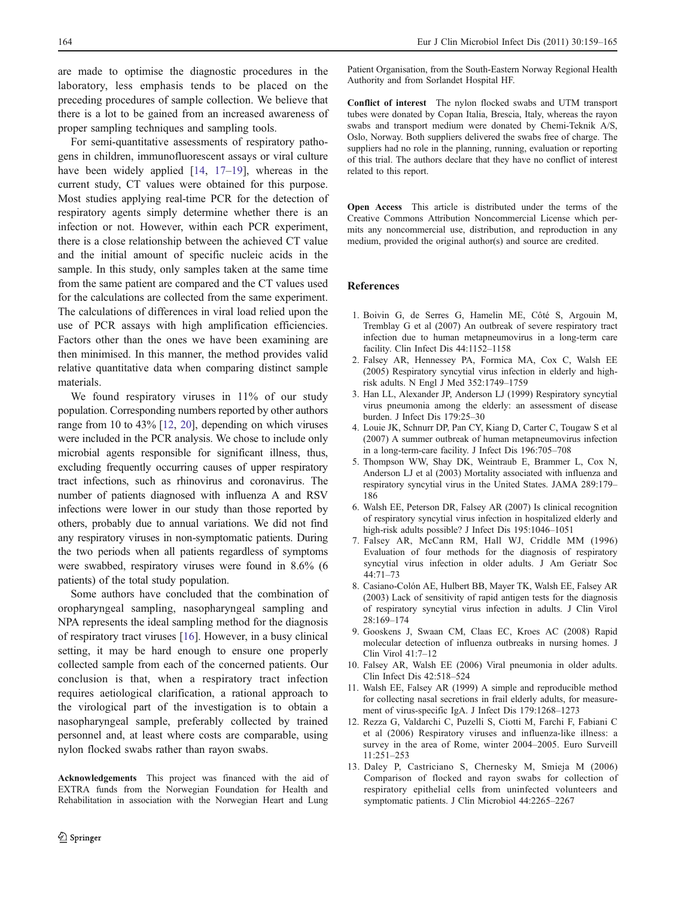<span id="page-5-0"></span>are made to optimise the diagnostic procedures in the laboratory, less emphasis tends to be placed on the preceding procedures of sample collection. We believe that there is a lot to be gained from an increased awareness of proper sampling techniques and sampling tools.

For semi-quantitative assessments of respiratory pathogens in children, immunofluorescent assays or viral culture have been widely applied [[14,](#page-6-0) [17](#page-6-0)–[19](#page-6-0)], whereas in the current study, CT values were obtained for this purpose. Most studies applying real-time PCR for the detection of respiratory agents simply determine whether there is an infection or not. However, within each PCR experiment, there is a close relationship between the achieved CT value and the initial amount of specific nucleic acids in the sample. In this study, only samples taken at the same time from the same patient are compared and the CT values used for the calculations are collected from the same experiment. The calculations of differences in viral load relied upon the use of PCR assays with high amplification efficiencies. Factors other than the ones we have been examining are then minimised. In this manner, the method provides valid relative quantitative data when comparing distinct sample materials.

We found respiratory viruses in 11% of our study population. Corresponding numbers reported by other authors range from 10 to 43% [12, [20\]](#page-6-0), depending on which viruses were included in the PCR analysis. We chose to include only microbial agents responsible for significant illness, thus, excluding frequently occurring causes of upper respiratory tract infections, such as rhinovirus and coronavirus. The number of patients diagnosed with influenza A and RSV infections were lower in our study than those reported by others, probably due to annual variations. We did not find any respiratory viruses in non-symptomatic patients. During the two periods when all patients regardless of symptoms were swabbed, respiratory viruses were found in 8.6% (6 patients) of the total study population.

Some authors have concluded that the combination of oropharyngeal sampling, nasopharyngeal sampling and NPA represents the ideal sampling method for the diagnosis of respiratory tract viruses [\[16](#page-6-0)]. However, in a busy clinical setting, it may be hard enough to ensure one properly collected sample from each of the concerned patients. Our conclusion is that, when a respiratory tract infection requires aetiological clarification, a rational approach to the virological part of the investigation is to obtain a nasopharyngeal sample, preferably collected by trained personnel and, at least where costs are comparable, using nylon flocked swabs rather than rayon swabs.

Acknowledgements This project was financed with the aid of EXTRA funds from the Norwegian Foundation for Health and Rehabilitation in association with the Norwegian Heart and Lung

Patient Organisation, from the South-Eastern Norway Regional Health Authority and from Sorlandet Hospital HF.

Conflict of interest The nylon flocked swabs and UTM transport tubes were donated by Copan Italia, Brescia, Italy, whereas the rayon swabs and transport medium were donated by Chemi-Teknik A/S, Oslo, Norway. Both suppliers delivered the swabs free of charge. The suppliers had no role in the planning, running, evaluation or reporting of this trial. The authors declare that they have no conflict of interest related to this report.

Open Access This article is distributed under the terms of the Creative Commons Attribution Noncommercial License which permits any noncommercial use, distribution, and reproduction in any medium, provided the original author(s) and source are credited.

#### References

- 1. Boivin G, de Serres G, Hamelin ME, Côté S, Argouin M, Tremblay G et al (2007) An outbreak of severe respiratory tract infection due to human metapneumovirus in a long-term care facility. Clin Infect Dis 44:1152–1158
- 2. Falsey AR, Hennessey PA, Formica MA, Cox C, Walsh EE (2005) Respiratory syncytial virus infection in elderly and highrisk adults. N Engl J Med 352:1749–1759
- 3. Han LL, Alexander JP, Anderson LJ (1999) Respiratory syncytial virus pneumonia among the elderly: an assessment of disease burden. J Infect Dis 179:25–30
- 4. Louie JK, Schnurr DP, Pan CY, Kiang D, Carter C, Tougaw S et al (2007) A summer outbreak of human metapneumovirus infection in a long-term-care facility. J Infect Dis 196:705–708
- 5. Thompson WW, Shay DK, Weintraub E, Brammer L, Cox N, Anderson LJ et al (2003) Mortality associated with influenza and respiratory syncytial virus in the United States. JAMA 289:179– 186
- 6. Walsh EE, Peterson DR, Falsey AR (2007) Is clinical recognition of respiratory syncytial virus infection in hospitalized elderly and high-risk adults possible? J Infect Dis 195:1046–1051
- 7. Falsey AR, McCann RM, Hall WJ, Criddle MM (1996) Evaluation of four methods for the diagnosis of respiratory syncytial virus infection in older adults. J Am Geriatr Soc 44:71–73
- 8. Casiano-Colón AE, Hulbert BB, Mayer TK, Walsh EE, Falsey AR (2003) Lack of sensitivity of rapid antigen tests for the diagnosis of respiratory syncytial virus infection in adults. J Clin Virol 28:169–174
- 9. Gooskens J, Swaan CM, Claas EC, Kroes AC (2008) Rapid molecular detection of influenza outbreaks in nursing homes. J Clin Virol 41:7–12
- 10. Falsey AR, Walsh EE (2006) Viral pneumonia in older adults. Clin Infect Dis 42:518–524
- 11. Walsh EE, Falsey AR (1999) A simple and reproducible method for collecting nasal secretions in frail elderly adults, for measurement of virus-specific IgA. J Infect Dis 179:1268–1273
- 12. Rezza G, Valdarchi C, Puzelli S, Ciotti M, Farchi F, Fabiani C et al (2006) Respiratory viruses and influenza-like illness: a survey in the area of Rome, winter 2004–2005. Euro Surveill 11:251–253
- 13. Daley P, Castriciano S, Chernesky M, Smieja M (2006) Comparison of flocked and rayon swabs for collection of respiratory epithelial cells from uninfected volunteers and symptomatic patients. J Clin Microbiol 44:2265–2267